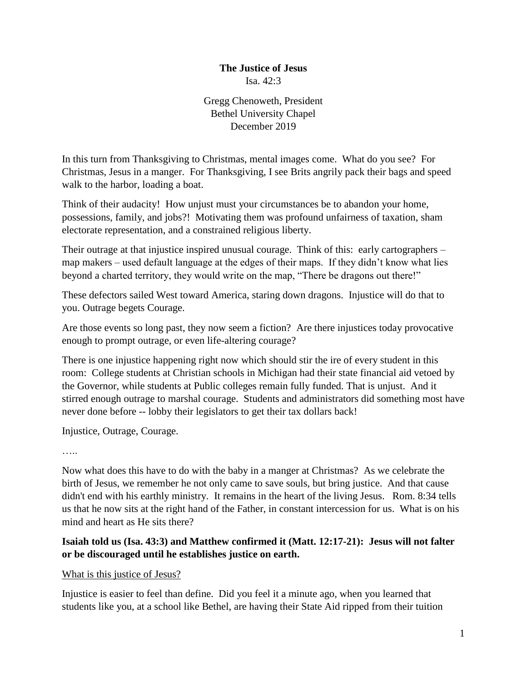#### **The Justice of Jesus** Isa. 42:3

Gregg Chenoweth, President Bethel University Chapel December 2019

In this turn from Thanksgiving to Christmas, mental images come. What do you see? For Christmas, Jesus in a manger. For Thanksgiving, I see Brits angrily pack their bags and speed walk to the harbor, loading a boat.

Think of their audacity! How unjust must your circumstances be to abandon your home, possessions, family, and jobs?! Motivating them was profound unfairness of taxation, sham electorate representation, and a constrained religious liberty.

Their outrage at that injustice inspired unusual courage. Think of this: early cartographers – map makers – used default language at the edges of their maps. If they didn't know what lies beyond a charted territory, they would write on the map, "There be dragons out there!"

These defectors sailed West toward America, staring down dragons. Injustice will do that to you. Outrage begets Courage.

Are those events so long past, they now seem a fiction? Are there injustices today provocative enough to prompt outrage, or even life-altering courage?

There is one injustice happening right now which should stir the ire of every student in this room: College students at Christian schools in Michigan had their state financial aid vetoed by the Governor, while students at Public colleges remain fully funded. That is unjust. And it stirred enough outrage to marshal courage. Students and administrators did something most have never done before -- lobby their legislators to get their tax dollars back!

Injustice, Outrage, Courage.

……

Now what does this have to do with the baby in a manger at Christmas? As we celebrate the birth of Jesus, we remember he not only came to save souls, but bring justice. And that cause didn't end with his earthly ministry. It remains in the heart of the living Jesus. Rom. 8:34 tells us that he now sits at the right hand of the Father, in constant intercession for us. What is on his mind and heart as He sits there?

# **Isaiah told us (Isa. 43:3) and Matthew confirmed it (Matt. 12:17-21): Jesus will not falter or be discouraged until he establishes justice on earth.**

#### What is this justice of Jesus?

Injustice is easier to feel than define. Did you feel it a minute ago, when you learned that students like you, at a school like Bethel, are having their State Aid ripped from their tuition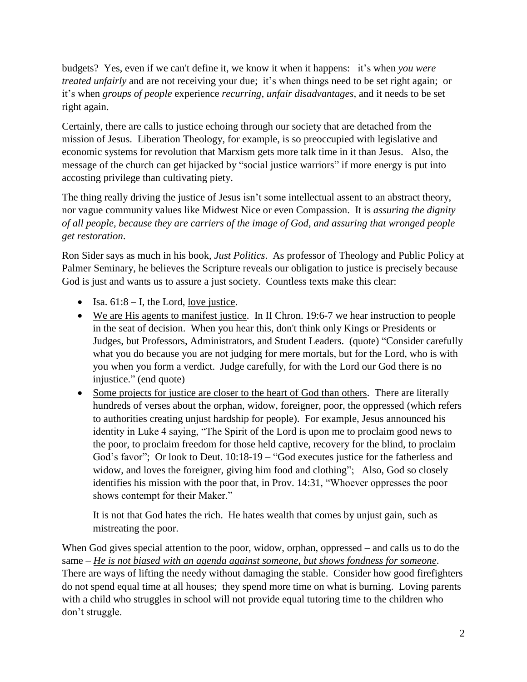budgets? Yes, even if we can't define it, we know it when it happens: it's when *you were treated unfairly* and are not receiving your due; it's when things need to be set right again; or it's when *groups of people* experience *recurring, unfair disadvantages,* and it needs to be set right again.

Certainly, there are calls to justice echoing through our society that are detached from the mission of Jesus. Liberation Theology, for example, is so preoccupied with legislative and economic systems for revolution that Marxism gets more talk time in it than Jesus. Also, the message of the church can get hijacked by "social justice warriors" if more energy is put into accosting privilege than cultivating piety.

The thing really driving the justice of Jesus isn't some intellectual assent to an abstract theory, nor vague community values like Midwest Nice or even Compassion. It is *assuring the dignity of all people, because they are carriers of the image of God, and assuring that wronged people get restoration*.

Ron Sider says as much in his book, *Just Politics*. As professor of Theology and Public Policy at Palmer Seminary, he believes the Scripture reveals our obligation to justice is precisely because God is just and wants us to assure a just society. Countless texts make this clear:

- Isa.  $61:8 I$ , the Lord, <u>love justice</u>.
- We are His agents to manifest justice. In II Chron. 19:6-7 we hear instruction to people in the seat of decision. When you hear this, don't think only Kings or Presidents or Judges, but Professors, Administrators, and Student Leaders. (quote) "Consider carefully what you do because you are not judging for mere mortals, but for the Lord, who is with you when you form a verdict. Judge carefully, for with the Lord our God there is no injustice." (end quote)
- Some projects for justice are closer to the heart of God than others. There are literally hundreds of verses about the orphan, widow, foreigner, poor, the oppressed (which refers to authorities creating unjust hardship for people). For example, Jesus announced his identity in Luke 4 saying, "The Spirit of the Lord is upon me to proclaim good news to the poor, to proclaim freedom for those held captive, recovery for the blind, to proclaim God's favor"; Or look to Deut. 10:18-19 – "God executes justice for the fatherless and widow, and loves the foreigner, giving him food and clothing"; Also, God so closely identifies his mission with the poor that, in Prov. 14:31, "Whoever oppresses the poor shows contempt for their Maker."

It is not that God hates the rich. He hates wealth that comes by unjust gain, such as mistreating the poor.

When God gives special attention to the poor, widow, orphan, oppressed – and calls us to do the same – *He is not biased with an agenda against someone, but shows fondness for someone*. There are ways of lifting the needy without damaging the stable. Consider how good firefighters do not spend equal time at all houses; they spend more time on what is burning. Loving parents with a child who struggles in school will not provide equal tutoring time to the children who don't struggle.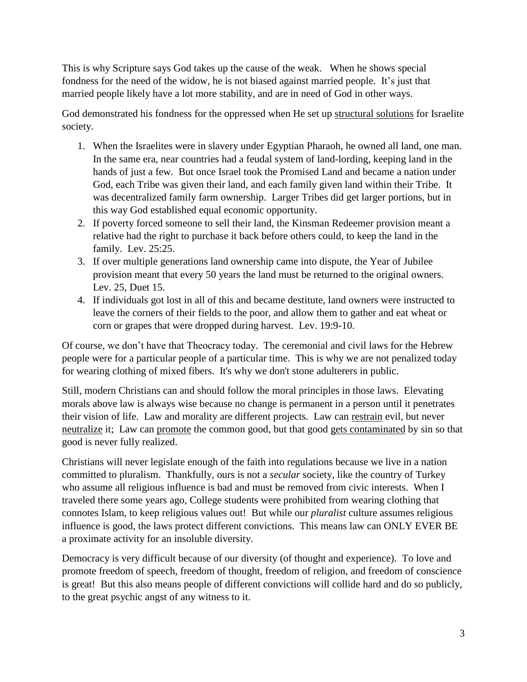This is why Scripture says God takes up the cause of the weak. When he shows special fondness for the need of the widow, he is not biased against married people. It's just that married people likely have a lot more stability, and are in need of God in other ways.

God demonstrated his fondness for the oppressed when He set up structural solutions for Israelite society.

- 1. When the Israelites were in slavery under Egyptian Pharaoh, he owned all land, one man. In the same era, near countries had a feudal system of land-lording, keeping land in the hands of just a few. But once Israel took the Promised Land and became a nation under God, each Tribe was given their land, and each family given land within their Tribe. It was decentralized family farm ownership. Larger Tribes did get larger portions, but in this way God established equal economic opportunity.
- 2. If poverty forced someone to sell their land, the Kinsman Redeemer provision meant a relative had the right to purchase it back before others could, to keep the land in the family. Lev. 25:25.
- 3. If over multiple generations land ownership came into dispute, the Year of Jubilee provision meant that every 50 years the land must be returned to the original owners. Lev. 25, Duet 15.
- 4. If individuals got lost in all of this and became destitute, land owners were instructed to leave the corners of their fields to the poor, and allow them to gather and eat wheat or corn or grapes that were dropped during harvest. Lev. 19:9-10.

Of course, we don't have that Theocracy today. The ceremonial and civil laws for the Hebrew people were for a particular people of a particular time. This is why we are not penalized today for wearing clothing of mixed fibers. It's why we don't stone adulterers in public.

Still, modern Christians can and should follow the moral principles in those laws. Elevating morals above law is always wise because no change is permanent in a person until it penetrates their vision of life. Law and morality are different projects. Law can restrain evil, but never neutralize it; Law can promote the common good, but that good gets contaminated by sin so that good is never fully realized.

Christians will never legislate enough of the faith into regulations because we live in a nation committed to pluralism. Thankfully, ours is not a *secular* society, like the country of Turkey who assume all religious influence is bad and must be removed from civic interests. When I traveled there some years ago, College students were prohibited from wearing clothing that connotes Islam, to keep religious values out! But while our *pluralist* culture assumes religious influence is good, the laws protect different convictions. This means law can ONLY EVER BE a proximate activity for an insoluble diversity.

Democracy is very difficult because of our diversity (of thought and experience). To love and promote freedom of speech, freedom of thought, freedom of religion, and freedom of conscience is great! But this also means people of different convictions will collide hard and do so publicly, to the great psychic angst of any witness to it.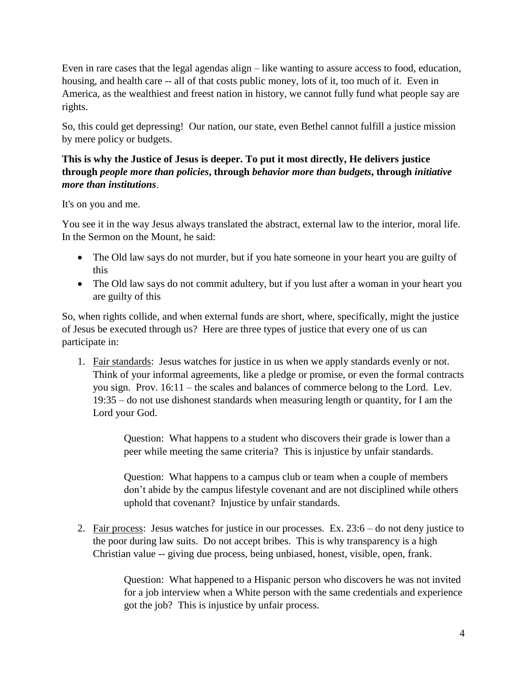Even in rare cases that the legal agendas align – like wanting to assure access to food, education, housing, and health care -- all of that costs public money, lots of it, too much of it. Even in America, as the wealthiest and freest nation in history, we cannot fully fund what people say are rights.

So, this could get depressing! Our nation, our state, even Bethel cannot fulfill a justice mission by mere policy or budgets.

## **This is why the Justice of Jesus is deeper. To put it most directly, He delivers justice through** *people more than policies***, through** *behavior more than budgets***, through** *initiative more than institutions*.

It's on you and me.

You see it in the way Jesus always translated the abstract, external law to the interior, moral life. In the Sermon on the Mount, he said:

- The Old law says do not murder, but if you hate someone in your heart you are guilty of this
- The Old law says do not commit adultery, but if you lust after a woman in your heart you are guilty of this

So, when rights collide, and when external funds are short, where, specifically, might the justice of Jesus be executed through us? Here are three types of justice that every one of us can participate in:

1. Fair standards: Jesus watches for justice in us when we apply standards evenly or not. Think of your informal agreements, like a pledge or promise, or even the formal contracts you sign. Prov. 16:11 – the scales and balances of commerce belong to the Lord. Lev. 19:35 – do not use dishonest standards when measuring length or quantity, for I am the Lord your God.

> Question: What happens to a student who discovers their grade is lower than a peer while meeting the same criteria? This is injustice by unfair standards.

Question: What happens to a campus club or team when a couple of members don't abide by the campus lifestyle covenant and are not disciplined while others uphold that covenant? Injustice by unfair standards.

2. Fair process: Jesus watches for justice in our processes. Ex. 23:6 – do not deny justice to the poor during law suits. Do not accept bribes. This is why transparency is a high Christian value -- giving due process, being unbiased, honest, visible, open, frank.

> Question: What happened to a Hispanic person who discovers he was not invited for a job interview when a White person with the same credentials and experience got the job? This is injustice by unfair process.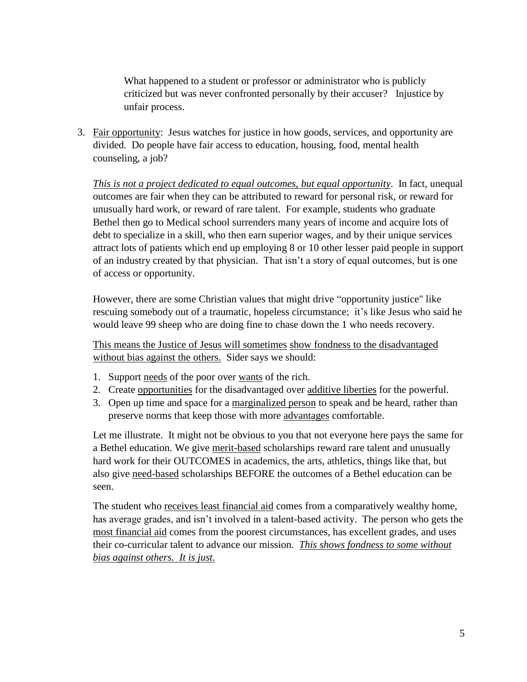What happened to a student or professor or administrator who is publicly criticized but was never confronted personally by their accuser? Injustice by unfair process.

3. Fair opportunity: Jesus watches for justice in how goods, services, and opportunity are divided. Do people have fair access to education, housing, food, mental health counseling, a job?

*This is not a project dedicated to equal outcomes, but equal opportunity*. In fact, unequal outcomes are fair when they can be attributed to reward for personal risk, or reward for unusually hard work, or reward of rare talent. For example, students who graduate Bethel then go to Medical school surrenders many years of income and acquire lots of debt to specialize in a skill, who then earn superior wages, and by their unique services attract lots of patients which end up employing 8 or 10 other lesser paid people in support of an industry created by that physician. That isn't a story of equal outcomes, but is one of access or opportunity.

However, there are some Christian values that might drive "opportunity justice" like rescuing somebody out of a traumatic, hopeless circumstance; it's like Jesus who said he would leave 99 sheep who are doing fine to chase down the 1 who needs recovery.

This means the Justice of Jesus will sometimes show fondness to the disadvantaged without bias against the others. Sider says we should:

- 1. Support needs of the poor over wants of the rich.
- 2. Create opportunities for the disadvantaged over additive liberties for the powerful.
- 3. Open up time and space for a marginalized person to speak and be heard, rather than preserve norms that keep those with more advantages comfortable.

Let me illustrate. It might not be obvious to you that not everyone here pays the same for a Bethel education. We give merit-based scholarships reward rare talent and unusually hard work for their OUTCOMES in academics, the arts, athletics, things like that, but also give need-based scholarships BEFORE the outcomes of a Bethel education can be seen.

The student who receives least financial aid comes from a comparatively wealthy home, has average grades, and isn't involved in a talent-based activity. The person who gets the most financial aid comes from the poorest circumstances, has excellent grades, and uses their co-curricular talent to advance our mission. *This shows fondness to some without bias against others. It is just.*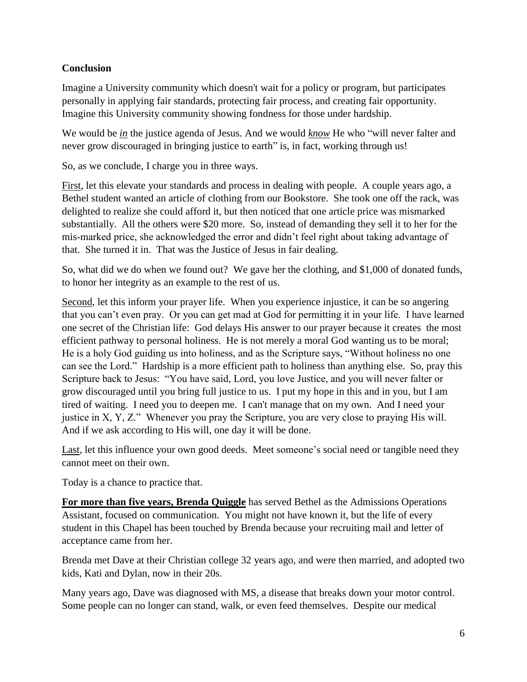### **Conclusion**

Imagine a University community which doesn't wait for a policy or program, but participates personally in applying fair standards, protecting fair process, and creating fair opportunity. Imagine this University community showing fondness for those under hardship.

We would be *in* the justice agenda of Jesus. And we would *know* He who "will never falter and never grow discouraged in bringing justice to earth" is, in fact, working through us!

So, as we conclude, I charge you in three ways.

First, let this elevate your standards and process in dealing with people. A couple years ago, a Bethel student wanted an article of clothing from our Bookstore. She took one off the rack, was delighted to realize she could afford it, but then noticed that one article price was mismarked substantially. All the others were \$20 more. So, instead of demanding they sell it to her for the mis-marked price, she acknowledged the error and didn't feel right about taking advantage of that. She turned it in. That was the Justice of Jesus in fair dealing.

So, what did we do when we found out? We gave her the clothing, and \$1,000 of donated funds, to honor her integrity as an example to the rest of us.

Second, let this inform your prayer life. When you experience injustice, it can be so angering that you can't even pray. Or you can get mad at God for permitting it in your life. I have learned one secret of the Christian life: God delays His answer to our prayer because it creates the most efficient pathway to personal holiness. He is not merely a moral God wanting us to be moral; He is a holy God guiding us into holiness, and as the Scripture says, "Without holiness no one can see the Lord." Hardship is a more efficient path to holiness than anything else. So, pray this Scripture back to Jesus: "You have said, Lord, you love Justice, and you will never falter or grow discouraged until you bring full justice to us. I put my hope in this and in you, but I am tired of waiting. I need you to deepen me. I can't manage that on my own. And I need your justice in X, Y, Z." Whenever you pray the Scripture, you are very close to praying His will. And if we ask according to His will, one day it will be done.

Last, let this influence your own good deeds. Meet someone's social need or tangible need they cannot meet on their own.

Today is a chance to practice that.

**For more than five years, Brenda Quiggle** has served Bethel as the Admissions Operations Assistant, focused on communication. You might not have known it, but the life of every student in this Chapel has been touched by Brenda because your recruiting mail and letter of acceptance came from her.

Brenda met Dave at their Christian college 32 years ago, and were then married, and adopted two kids, Kati and Dylan, now in their 20s.

Many years ago, Dave was diagnosed with MS, a disease that breaks down your motor control. Some people can no longer can stand, walk, or even feed themselves. Despite our medical